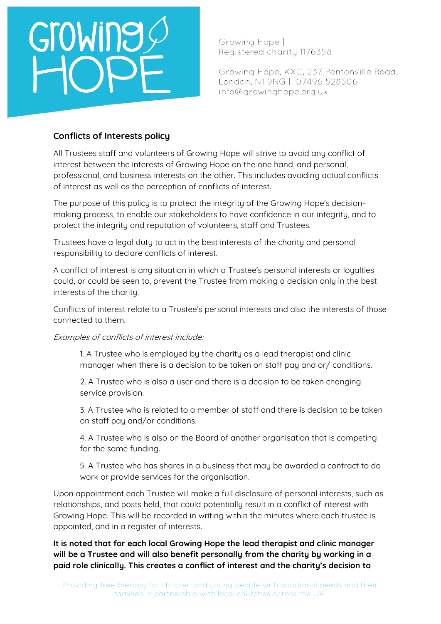

Growing Hope I Registered charity 1176358

Growing Hope, KXC, 237 Pentonville Road, London, N1 9NG | 07496 528506 info@growinghope.org.uk

## **Conflicts of Interests policy**

All Trustees staff and volunteers of Growing Hope will strive to avoid any conflict of interest between the interests of Growing Hope on the one hand, and personal, professional, and business interests on the other. This includes avoiding actual conflicts of interest as well as the perception of conflicts of interest.

The purpose of this policy is to protect the integrity of the Growing Hope's decisionmaking process, to enable our stakeholders to have confidence in our integrity, and to protect the integrity and reputation of volunteers, staff and Trustees.

Trustees have a legal duty to act in the best interests of the charity and personal responsibility to declare conflicts of interest.

A conflict of interest is any situation in which a Trustee's personal interests or loyalties could, or could be seen to, prevent the Trustee from making a decision only in the best interests of the charity.

Conflicts of interest relate to a Trustee's personal interests and also the interests of those connected to them.

## Examples of conflicts of interest include:

1. A Trustee who is employed by the charity as a lead therapist and clinic manager when there is a decision to be taken on staff pay and or/ conditions.

2. A Trustee who is also a user and there is a decision to be taken changing service provision.

3. A Trustee who is related to a member of staff and there is decision to be taken on staff pay and/or conditions.

4. A Trustee who is also on the Board of another organisation that is competing for the same funding.

5. A Trustee who has shares in a business that may be awarded a contract to do work or provide services for the organisation.

Upon appointment each Trustee will make a full disclosure of personal interests, such as relationships, and posts held, that could potentially result in a conflict of interest with Growing Hope. This will be recorded in writing within the minutes where each trustee is appointed, and in a register of interests.

**It is noted that for each local Growing Hope the lead therapist and clinic manager will be a Trustee and will also benefit personally from the charity by working in a paid role clinically. This creates a conflict of interest and the charity's decision to**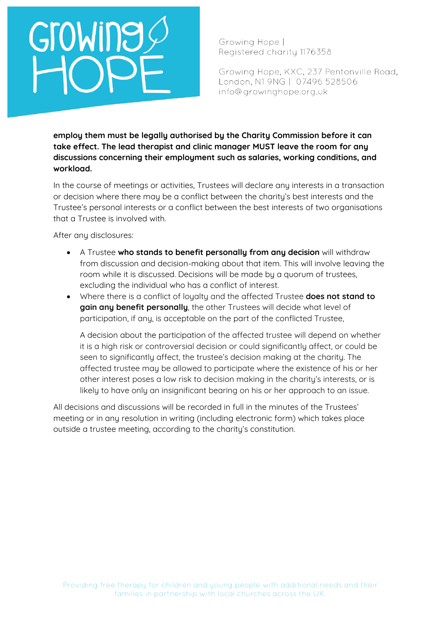# Growing

Growing Hope | Registered charity 1176358

Growing Hope, KXC, 237 Pentonville Road, London, N1 9NG | 07496 528506 info@growinghope.org.uk

**employ them must be legally authorised by the Charity Commission before it can take effect. The lead therapist and clinic manager MUST leave the room for any discussions concerning their employment such as salaries, working conditions, and workload.** 

In the course of meetings or activities, Trustees will declare any interests in a transaction or decision where there may be a conflict between the charity's best interests and the Trustee's personal interests or a conflict between the best interests of two organisations that a Trustee is involved with.

After any disclosures:

- A Trustee **who stands to benefit personally from any decision** will withdraw from discussion and decision-making about that item. This will involve leaving the room while it is discussed. Decisions will be made by a quorum of trustees, excluding the individual who has a conflict of interest.
- Where there is a conflict of loyalty and the affected Trustee **does not stand to gain any benefit personally**, the other Trustees will decide what level of participation, if any, is acceptable on the part of the conflicted Trustee,

A decision about the participation of the affected trustee will depend on whether it is a high risk or controversial decision or could significantly affect, or could be seen to significantly affect, the trustee's decision making at the charity. The affected trustee may be allowed to participate where the existence of his or her other interest poses a low risk to decision making in the charity's interests, or is likely to have only an insignificant bearing on his or her approach to an issue.

All decisions and discussions will be recorded in full in the minutes of the Trustees' meeting or in any resolution in writing (including electronic form) which takes place outside a trustee meeting, according to the charity's constitution.